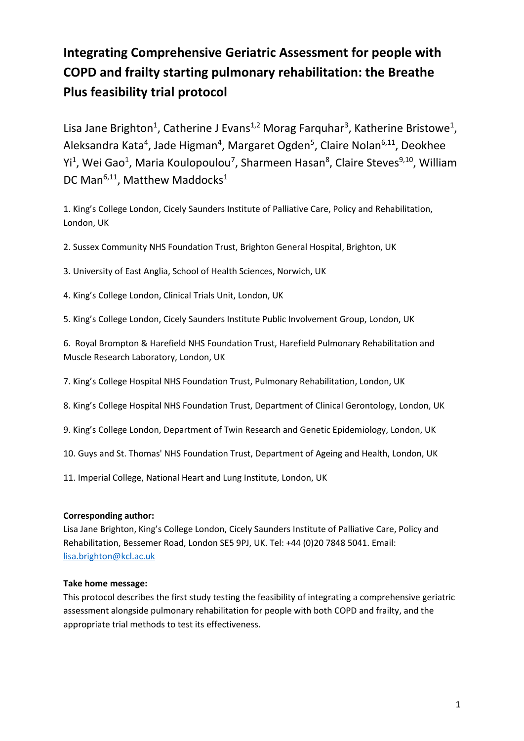# **Integrating Comprehensive Geriatric Assessment for people with COPD and frailty starting pulmonary rehabilitation: the Breathe Plus feasibility trial protocol**

Lisa Jane Brighton<sup>1</sup>, Catherine J Evans<sup>1,2</sup> Morag Farquhar<sup>3</sup>, Katherine Bristowe<sup>1</sup>, Aleksandra Kata<sup>4</sup>, Jade Higman<sup>4</sup>, Margaret Ogden<sup>5</sup>, Claire Nolan<sup>6,11</sup>, Deokhee Yi<sup>1</sup>, Wei Gao<sup>1</sup>, Maria Koulopoulou<sup>7</sup>, Sharmeen Hasan<sup>8</sup>, Claire Steves<sup>9,10</sup>, William DC Man<sup>6,11</sup>, Matthew Maddocks<sup>1</sup>

1. King's College London, Cicely Saunders Institute of Palliative Care, Policy and Rehabilitation, London, UK

2. Sussex Community NHS Foundation Trust, Brighton General Hospital, Brighton, UK

- 3. University of East Anglia, School of Health Sciences, Norwich, UK
- 4. King's College London, Clinical Trials Unit, London, UK
- 5. King's College London, Cicely Saunders Institute Public Involvement Group, London, UK

6. Royal Brompton & Harefield NHS Foundation Trust, Harefield Pulmonary Rehabilitation and Muscle Research Laboratory, London, UK

- 7. King's College Hospital NHS Foundation Trust, Pulmonary Rehabilitation, London, UK
- 8. King's College Hospital NHS Foundation Trust, Department of Clinical Gerontology, London, UK
- 9. King's College London, Department of Twin Research and Genetic Epidemiology, London, UK
- 10. Guys and St. Thomas' NHS Foundation Trust, Department of Ageing and Health, London, UK
- 11. Imperial College, National Heart and Lung Institute, London, UK

# **Corresponding author:**

Lisa Jane Brighton, King's College London, Cicely Saunders Institute of Palliative Care, Policy and Rehabilitation, Bessemer Road, London SE5 9PJ, UK. Tel: +44 (0)20 7848 5041. Email: [lisa.brighton@kcl.ac.uk](mailto:lisa.brighton@kcl.ac.uk)

# **Take home message:**

This protocol describes the first study testing the feasibility of integrating a comprehensive geriatric assessment alongside pulmonary rehabilitation for people with both COPD and frailty, and the appropriate trial methods to test its effectiveness.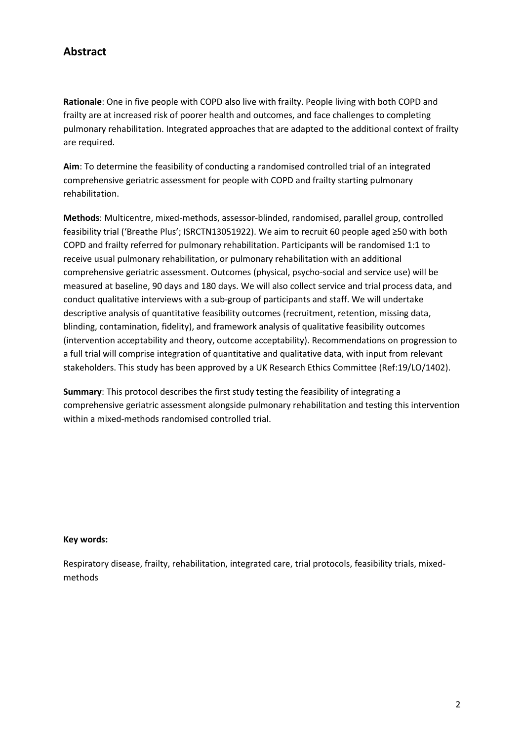# **Abstract**

**Rationale**: One in five people with COPD also live with frailty. People living with both COPD and frailty are at increased risk of poorer health and outcomes, and face challenges to completing pulmonary rehabilitation. Integrated approaches that are adapted to the additional context of frailty are required.

**Aim**: To determine the feasibility of conducting a randomised controlled trial of an integrated comprehensive geriatric assessment for people with COPD and frailty starting pulmonary rehabilitation.

**Methods**: Multicentre, mixed-methods, assessor-blinded, randomised, parallel group, controlled feasibility trial ('Breathe Plus'; ISRCTN13051922). We aim to recruit 60 people aged ≥50 with both COPD and frailty referred for pulmonary rehabilitation. Participants will be randomised 1:1 to receive usual pulmonary rehabilitation, or pulmonary rehabilitation with an additional comprehensive geriatric assessment. Outcomes (physical, psycho-social and service use) will be measured at baseline, 90 days and 180 days. We will also collect service and trial process data, and conduct qualitative interviews with a sub-group of participants and staff. We will undertake descriptive analysis of quantitative feasibility outcomes (recruitment, retention, missing data, blinding, contamination, fidelity), and framework analysis of qualitative feasibility outcomes (intervention acceptability and theory, outcome acceptability). Recommendations on progression to a full trial will comprise integration of quantitative and qualitative data, with input from relevant stakeholders. This study has been approved by a UK Research Ethics Committee (Ref:19/LO/1402).

**Summary**: This protocol describes the first study testing the feasibility of integrating a comprehensive geriatric assessment alongside pulmonary rehabilitation and testing this intervention within a mixed-methods randomised controlled trial.

# **Key words:**

Respiratory disease, frailty, rehabilitation, integrated care, trial protocols, feasibility trials, mixedmethods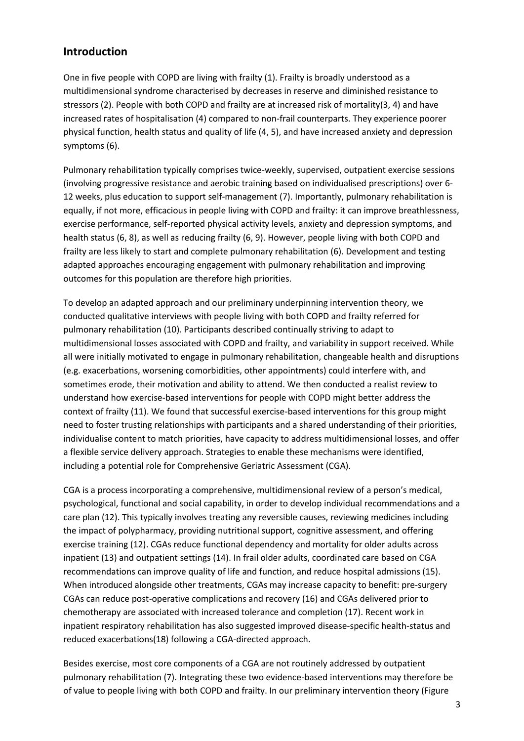# **Introduction**

One in five people with COPD are living with frailty (1). Frailty is broadly understood as a multidimensional syndrome characterised by decreases in reserve and diminished resistance to stressors (2). People with both COPD and frailty are at increased risk of mortality(3, 4) and have increased rates of hospitalisation (4) compared to non-frail counterparts. They experience poorer physical function, health status and quality of life (4, 5), and have increased anxiety and depression symptoms (6).

Pulmonary rehabilitation typically comprises twice-weekly, supervised, outpatient exercise sessions (involving progressive resistance and aerobic training based on individualised prescriptions) over 6- 12 weeks, plus education to support self-management (7). Importantly, pulmonary rehabilitation is equally, if not more, efficacious in people living with COPD and frailty: it can improve breathlessness, exercise performance, self-reported physical activity levels, anxiety and depression symptoms, and health status (6, 8), as well as reducing frailty (6, 9). However, people living with both COPD and frailty are less likely to start and complete pulmonary rehabilitation (6). Development and testing adapted approaches encouraging engagement with pulmonary rehabilitation and improving outcomes for this population are therefore high priorities.

To develop an adapted approach and our preliminary underpinning intervention theory, we conducted qualitative interviews with people living with both COPD and frailty referred for pulmonary rehabilitation (10). Participants described continually striving to adapt to multidimensional losses associated with COPD and frailty, and variability in support received. While all were initially motivated to engage in pulmonary rehabilitation, changeable health and disruptions (e.g. exacerbations, worsening comorbidities, other appointments) could interfere with, and sometimes erode, their motivation and ability to attend. We then conducted a realist review to understand how exercise-based interventions for people with COPD might better address the context of frailty (11). We found that successful exercise-based interventions for this group might need to foster trusting relationships with participants and a shared understanding of their priorities, individualise content to match priorities, have capacity to address multidimensional losses, and offer a flexible service delivery approach. Strategies to enable these mechanisms were identified, including a potential role for Comprehensive Geriatric Assessment (CGA).

CGA is a process incorporating a comprehensive, multidimensional review of a person's medical, psychological, functional and social capability, in order to develop individual recommendations and a care plan (12). This typically involves treating any reversible causes, reviewing medicines including the impact of polypharmacy, providing nutritional support, cognitive assessment, and offering exercise training (12). CGAs reduce functional dependency and mortality for older adults across inpatient (13) and outpatient settings (14). In frail older adults, coordinated care based on CGA recommendations can improve quality of life and function, and reduce hospital admissions (15). When introduced alongside other treatments, CGAs may increase capacity to benefit: pre-surgery CGAs can reduce post-operative complications and recovery (16) and CGAs delivered prior to chemotherapy are associated with increased tolerance and completion (17). Recent work in inpatient respiratory rehabilitation has also suggested improved disease-specific health-status and reduced exacerbations(18) following a CGA-directed approach.

Besides exercise, most core components of a CGA are not routinely addressed by outpatient pulmonary rehabilitation (7). Integrating these two evidence-based interventions may therefore be of value to people living with both COPD and frailty. In our preliminary intervention theory (Figure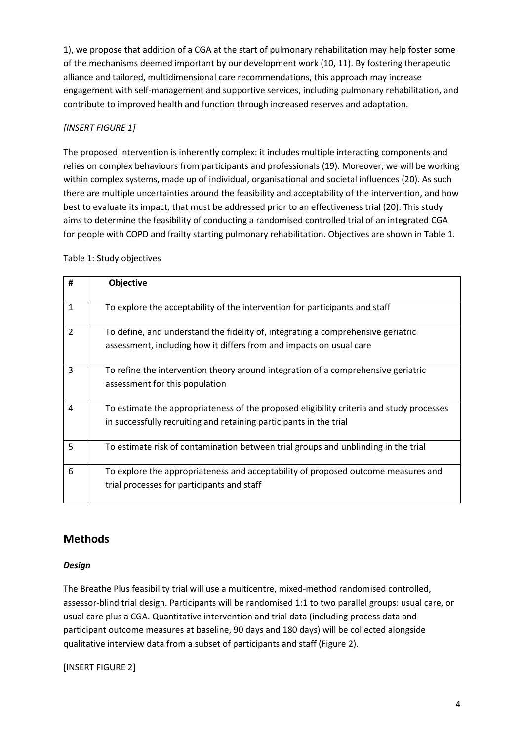1), we propose that addition of a CGA at the start of pulmonary rehabilitation may help foster some of the mechanisms deemed important by our development work (10, 11). By fostering therapeutic alliance and tailored, multidimensional care recommendations, this approach may increase engagement with self-management and supportive services, including pulmonary rehabilitation, and contribute to improved health and function through increased reserves and adaptation.

# *[INSERT FIGURE 1]*

The proposed intervention is inherently complex: it includes multiple interacting components and relies on complex behaviours from participants and professionals (19). Moreover, we will be working within complex systems, made up of individual, organisational and societal influences (20). As such there are multiple uncertainties around the feasibility and acceptability of the intervention, and how best to evaluate its impact, that must be addressed prior to an effectiveness trial (20). This study aims to determine the feasibility of conducting a randomised controlled trial of an integrated CGA for people with COPD and frailty starting pulmonary rehabilitation. Objectives are shown in Table 1.

| #              | <b>Objective</b>                                                                                                                                               |
|----------------|----------------------------------------------------------------------------------------------------------------------------------------------------------------|
|                |                                                                                                                                                                |
| $\mathbf{1}$   | To explore the acceptability of the intervention for participants and staff                                                                                    |
| $\overline{2}$ | To define, and understand the fidelity of, integrating a comprehensive geriatric                                                                               |
|                | assessment, including how it differs from and impacts on usual care                                                                                            |
| 3              | To refine the intervention theory around integration of a comprehensive geriatric<br>assessment for this population                                            |
| 4              | To estimate the appropriateness of the proposed eligibility criteria and study processes<br>in successfully recruiting and retaining participants in the trial |
| 5              | To estimate risk of contamination between trial groups and unblinding in the trial                                                                             |
| 6              | To explore the appropriateness and acceptability of proposed outcome measures and<br>trial processes for participants and staff                                |

# **Methods**

# *Design*

The Breathe Plus feasibility trial will use a multicentre, mixed-method randomised controlled, assessor-blind trial design. Participants will be randomised 1:1 to two parallel groups: usual care, or usual care plus a CGA. Quantitative intervention and trial data (including process data and participant outcome measures at baseline, 90 days and 180 days) will be collected alongside qualitative interview data from a subset of participants and staff (Figure 2).

[INSERT FIGURE 2]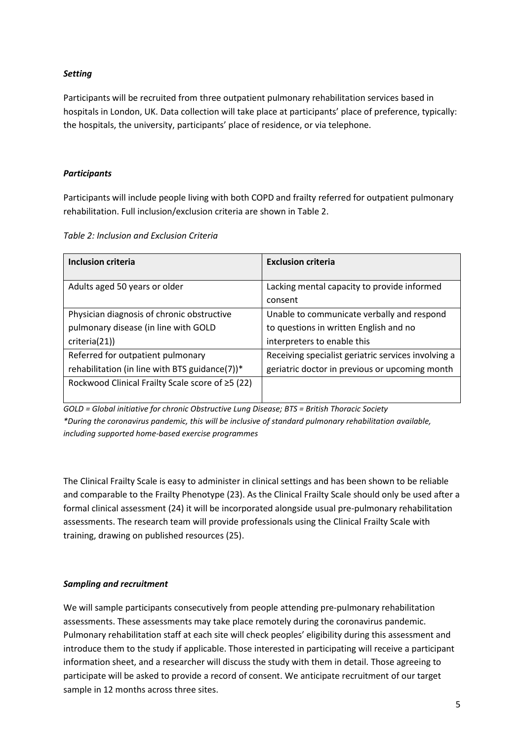#### *Setting*

Participants will be recruited from three outpatient pulmonary rehabilitation services based in hospitals in London, UK. Data collection will take place at participants' place of preference, typically: the hospitals, the university, participants' place of residence, or via telephone.

#### *Participants*

Participants will include people living with both COPD and frailty referred for outpatient pulmonary rehabilitation. Full inclusion/exclusion criteria are shown in Table 2.

|  | Table 2: Inclusion and Exclusion Criteria |
|--|-------------------------------------------|
|--|-------------------------------------------|

| Inclusion criteria                               | <b>Exclusion criteria</b>                           |  |  |
|--------------------------------------------------|-----------------------------------------------------|--|--|
|                                                  |                                                     |  |  |
| Adults aged 50 years or older                    | Lacking mental capacity to provide informed         |  |  |
|                                                  | consent                                             |  |  |
| Physician diagnosis of chronic obstructive       | Unable to communicate verbally and respond          |  |  |
| pulmonary disease (in line with GOLD             | to questions in written English and no              |  |  |
| criterion(21)                                    | interpreters to enable this                         |  |  |
| Referred for outpatient pulmonary                | Receiving specialist geriatric services involving a |  |  |
| rehabilitation (in line with BTS guidance(7))*   | geriatric doctor in previous or upcoming month      |  |  |
| Rockwood Clinical Frailty Scale score of ≥5 (22) |                                                     |  |  |
|                                                  |                                                     |  |  |

*GOLD = Global initiative for chronic Obstructive Lung Disease; BTS = British Thoracic Society \*During the coronavirus pandemic, this will be inclusive of standard pulmonary rehabilitation available, including supported home-based exercise programmes* 

The Clinical Frailty Scale is easy to administer in clinical settings and has been shown to be reliable and comparable to the Frailty Phenotype (23). As the Clinical Frailty Scale should only be used after a formal clinical assessment (24) it will be incorporated alongside usual pre-pulmonary rehabilitation assessments. The research team will provide professionals using the Clinical Frailty Scale with training, drawing on published resources (25).

#### *Sampling and recruitment*

We will sample participants consecutively from people attending pre-pulmonary rehabilitation assessments. These assessments may take place remotely during the coronavirus pandemic. Pulmonary rehabilitation staff at each site will check peoples' eligibility during this assessment and introduce them to the study if applicable. Those interested in participating will receive a participant information sheet, and a researcher will discuss the study with them in detail. Those agreeing to participate will be asked to provide a record of consent. We anticipate recruitment of our target sample in 12 months across three sites.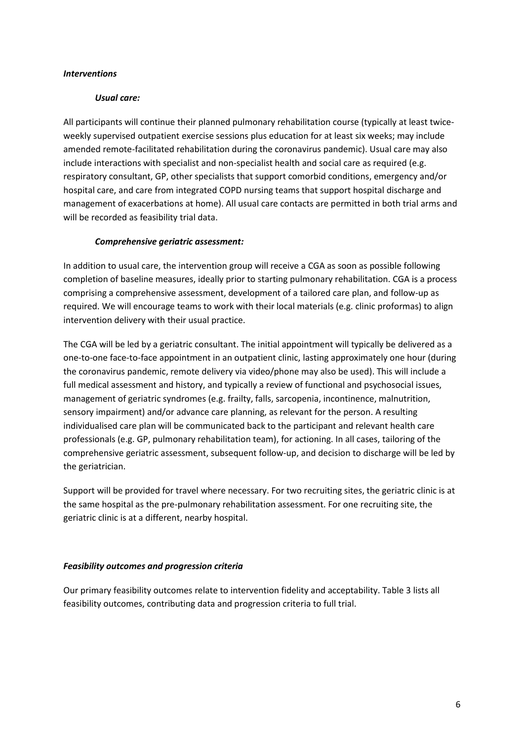#### *Interventions*

#### *Usual care:*

All participants will continue their planned pulmonary rehabilitation course (typically at least twiceweekly supervised outpatient exercise sessions plus education for at least six weeks; may include amended remote-facilitated rehabilitation during the coronavirus pandemic). Usual care may also include interactions with specialist and non-specialist health and social care as required (e.g. respiratory consultant, GP, other specialists that support comorbid conditions, emergency and/or hospital care, and care from integrated COPD nursing teams that support hospital discharge and management of exacerbations at home). All usual care contacts are permitted in both trial arms and will be recorded as feasibility trial data.

#### *Comprehensive geriatric assessment:*

In addition to usual care, the intervention group will receive a CGA as soon as possible following completion of baseline measures, ideally prior to starting pulmonary rehabilitation. CGA is a process comprising a comprehensive assessment, development of a tailored care plan, and follow-up as required. We will encourage teams to work with their local materials (e.g. clinic proformas) to align intervention delivery with their usual practice.

The CGA will be led by a geriatric consultant. The initial appointment will typically be delivered as a one-to-one face-to-face appointment in an outpatient clinic, lasting approximately one hour (during the coronavirus pandemic, remote delivery via video/phone may also be used). This will include a full medical assessment and history, and typically a review of functional and psychosocial issues, management of geriatric syndromes (e.g. frailty, falls, sarcopenia, incontinence, malnutrition, sensory impairment) and/or advance care planning, as relevant for the person. A resulting individualised care plan will be communicated back to the participant and relevant health care professionals (e.g. GP, pulmonary rehabilitation team), for actioning. In all cases, tailoring of the comprehensive geriatric assessment, subsequent follow-up, and decision to discharge will be led by the geriatrician.

Support will be provided for travel where necessary. For two recruiting sites, the geriatric clinic is at the same hospital as the pre-pulmonary rehabilitation assessment. For one recruiting site, the geriatric clinic is at a different, nearby hospital.

#### *Feasibility outcomes and progression criteria*

Our primary feasibility outcomes relate to intervention fidelity and acceptability. Table 3 lists all feasibility outcomes, contributing data and progression criteria to full trial.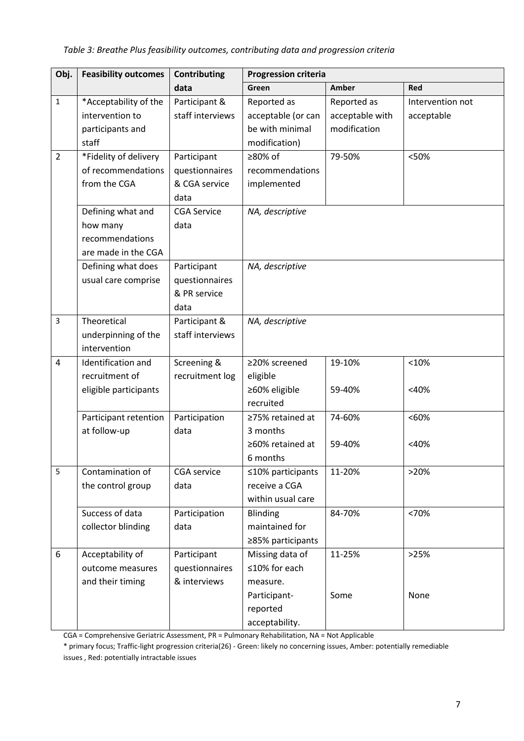| Obj.           | <b>Feasibility outcomes</b>                                                                  | Contributing                                                                         | <b>Progression criteria</b>                                           |                                                |                                |
|----------------|----------------------------------------------------------------------------------------------|--------------------------------------------------------------------------------------|-----------------------------------------------------------------------|------------------------------------------------|--------------------------------|
|                |                                                                                              | data                                                                                 | Green                                                                 | Amber                                          | Red                            |
| $\mathbf{1}$   | *Acceptability of the<br>intervention to<br>participants and<br>staff                        | Participant &<br>staff interviews                                                    | Reported as<br>acceptable (or can<br>be with minimal<br>modification) | Reported as<br>acceptable with<br>modification | Intervention not<br>acceptable |
| $\overline{2}$ | *Fidelity of delivery<br>of recommendations<br>from the CGA<br>Defining what and<br>how many | Participant<br>questionnaires<br>& CGA service<br>data<br><b>CGA Service</b><br>data | ≥80% of<br>recommendations<br>implemented<br>NA, descriptive          | 79-50%                                         | <50%                           |
|                | recommendations<br>are made in the CGA<br>Defining what does                                 | Participant                                                                          | NA, descriptive                                                       |                                                |                                |
|                | usual care comprise                                                                          | questionnaires<br>& PR service<br>data                                               |                                                                       |                                                |                                |
| $\overline{3}$ | Theoretical<br>underpinning of the<br>intervention                                           | Participant &<br>staff interviews                                                    | NA, descriptive                                                       |                                                |                                |
| 4              | Identification and<br>recruitment of<br>eligible participants                                | Screening &<br>recruitment log                                                       | ≥20% screened<br>eligible<br>≥60% eligible<br>recruited               | 19-10%<br>59-40%                               | <10%<br>$<$ 40%                |
|                | Participant retention<br>at follow-up                                                        | Participation<br>data                                                                | ≥75% retained at<br>3 months<br>≥60% retained at<br>6 months          | 74-60%<br>59-40%                               | $&50\%$<br>$<$ 40%             |
| 5              | Contamination of<br>the control group                                                        | <b>CGA</b> service<br>data                                                           | $≤10%$ participants<br>receive a CGA<br>within usual care             | 11-20%                                         | >20%                           |
|                | Success of data<br>collector blinding                                                        | Participation<br>data                                                                | <b>Blinding</b><br>maintained for<br>≥85% participants                | 84-70%                                         | <70%                           |
| 6              | Acceptability of<br>outcome measures<br>and their timing                                     | Participant<br>questionnaires<br>& interviews                                        | Missing data of<br>≤10% for each<br>measure.<br>Participant-          | 11-25%<br>Some                                 | >25%<br>None                   |
|                |                                                                                              |                                                                                      | reported<br>acceptability.                                            |                                                |                                |

CGA = Comprehensive Geriatric Assessment, PR = Pulmonary Rehabilitation, NA = Not Applicable

\* primary focus; Traffic-light progression criteria(26) - Green: likely no concerning issues, Amber: potentially remediable issues , Red: potentially intractable issues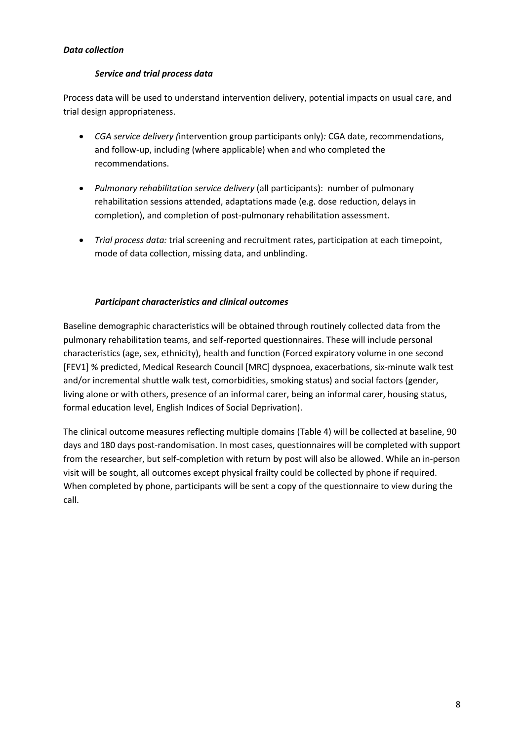# *Data collection*

# *Service and trial process data*

Process data will be used to understand intervention delivery, potential impacts on usual care, and trial design appropriateness.

- *CGA service delivery (*intervention group participants only)*:* CGA date, recommendations, and follow-up, including (where applicable) when and who completed the recommendations.
- *Pulmonary rehabilitation service delivery* (all participants): number of pulmonary rehabilitation sessions attended, adaptations made (e.g. dose reduction, delays in completion), and completion of post-pulmonary rehabilitation assessment.
- *Trial process data:* trial screening and recruitment rates, participation at each timepoint, mode of data collection, missing data, and unblinding.

# *Participant characteristics and clinical outcomes*

Baseline demographic characteristics will be obtained through routinely collected data from the pulmonary rehabilitation teams, and self-reported questionnaires. These will include personal characteristics (age, sex, ethnicity), health and function (Forced expiratory volume in one second [FEV1] % predicted, Medical Research Council [MRC] dyspnoea, exacerbations, six-minute walk test and/or incremental shuttle walk test, comorbidities, smoking status) and social factors (gender, living alone or with others, presence of an informal carer, being an informal carer, housing status, formal education level, English Indices of Social Deprivation).

The clinical outcome measures reflecting multiple domains (Table 4) will be collected at baseline, 90 days and 180 days post-randomisation. In most cases, questionnaires will be completed with support from the researcher, but self-completion with return by post will also be allowed. While an in-person visit will be sought, all outcomes except physical frailty could be collected by phone if required. When completed by phone, participants will be sent a copy of the questionnaire to view during the call.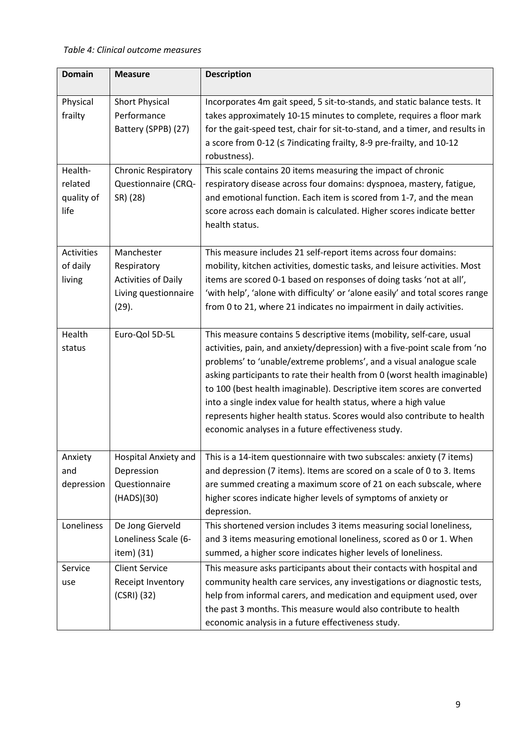| <b>Domain</b>     | <b>Measure</b>             | <b>Description</b>                                                            |
|-------------------|----------------------------|-------------------------------------------------------------------------------|
| Physical          | <b>Short Physical</b>      | Incorporates 4m gait speed, 5 sit-to-stands, and static balance tests. It     |
| frailty           | Performance                | takes approximately 10-15 minutes to complete, requires a floor mark          |
|                   | Battery (SPPB) (27)        | for the gait-speed test, chair for sit-to-stand, and a timer, and results in  |
|                   |                            | a score from 0-12 (≤ 7indicating frailty, 8-9 pre-frailty, and 10-12          |
|                   |                            | robustness).                                                                  |
| Health-           | <b>Chronic Respiratory</b> | This scale contains 20 items measuring the impact of chronic                  |
| related           | <b>Questionnaire (CRQ-</b> | respiratory disease across four domains: dyspnoea, mastery, fatigue,          |
| quality of        | SR) (28)                   | and emotional function. Each item is scored from 1-7, and the mean            |
| life              |                            | score across each domain is calculated. Higher scores indicate better         |
|                   |                            | health status.                                                                |
| <b>Activities</b> | Manchester                 | This measure includes 21 self-report items across four domains:               |
| of daily          | Respiratory                | mobility, kitchen activities, domestic tasks, and leisure activities. Most    |
| living            | <b>Activities of Daily</b> | items are scored 0-1 based on responses of doing tasks 'not at all',          |
|                   | Living questionnaire       | 'with help', 'alone with difficulty' or 'alone easily' and total scores range |
|                   | (29).                      | from 0 to 21, where 21 indicates no impairment in daily activities.           |
| Health            | Euro-Qol 5D-5L             | This measure contains 5 descriptive items (mobility, self-care, usual         |
| status            |                            | activities, pain, and anxiety/depression) with a five-point scale from 'no    |
|                   |                            | problems' to 'unable/extreme problems', and a visual analogue scale           |
|                   |                            | asking participants to rate their health from 0 (worst health imaginable)     |
|                   |                            | to 100 (best health imaginable). Descriptive item scores are converted        |
|                   |                            | into a single index value for health status, where a high value               |
|                   |                            | represents higher health status. Scores would also contribute to health       |
|                   |                            | economic analyses in a future effectiveness study.                            |
| Anxiety           | Hospital Anxiety and       | This is a 14-item questionnaire with two subscales: anxiety (7 items)         |
| and               | Depression                 | and depression (7 items). Items are scored on a scale of 0 to 3. Items        |
| depression        | Questionnaire              | are summed creating a maximum score of 21 on each subscale, where             |
|                   | (HADS)(30)                 | higher scores indicate higher levels of symptoms of anxiety or                |
|                   |                            | depression.                                                                   |
| Loneliness        | De Jong Gierveld           | This shortened version includes 3 items measuring social loneliness,          |
|                   | Loneliness Scale (6-       | and 3 items measuring emotional loneliness, scored as 0 or 1. When            |
|                   | item) (31)                 | summed, a higher score indicates higher levels of loneliness.                 |
| Service           | <b>Client Service</b>      | This measure asks participants about their contacts with hospital and         |
| use               | Receipt Inventory          | community health care services, any investigations or diagnostic tests,       |
|                   | $(CSRI)$ (32)              | help from informal carers, and medication and equipment used, over            |
|                   |                            | the past 3 months. This measure would also contribute to health               |
|                   |                            | economic analysis in a future effectiveness study.                            |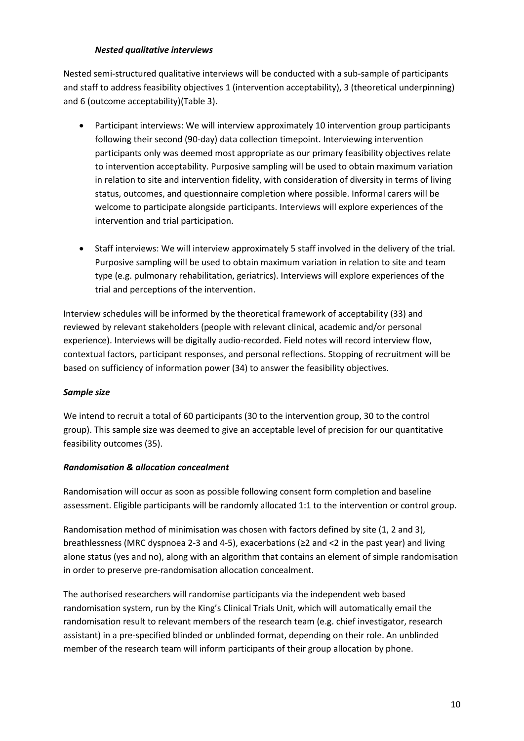#### *Nested qualitative interviews*

Nested semi-structured qualitative interviews will be conducted with a sub-sample of participants and staff to address feasibility objectives 1 (intervention acceptability), 3 (theoretical underpinning) and 6 (outcome acceptability)(Table 3).

- Participant interviews: We will interview approximately 10 intervention group participants following their second (90-day) data collection timepoint. Interviewing intervention participants only was deemed most appropriate as our primary feasibility objectives relate to intervention acceptability. Purposive sampling will be used to obtain maximum variation in relation to site and intervention fidelity, with consideration of diversity in terms of living status, outcomes, and questionnaire completion where possible. Informal carers will be welcome to participate alongside participants. Interviews will explore experiences of the intervention and trial participation.
- Staff interviews: We will interview approximately 5 staff involved in the delivery of the trial. Purposive sampling will be used to obtain maximum variation in relation to site and team type (e.g. pulmonary rehabilitation, geriatrics). Interviews will explore experiences of the trial and perceptions of the intervention.

Interview schedules will be informed by the theoretical framework of acceptability (33) and reviewed by relevant stakeholders (people with relevant clinical, academic and/or personal experience). Interviews will be digitally audio-recorded. Field notes will record interview flow, contextual factors, participant responses, and personal reflections. Stopping of recruitment will be based on sufficiency of information power (34) to answer the feasibility objectives.

# *Sample size*

We intend to recruit a total of 60 participants (30 to the intervention group, 30 to the control group). This sample size was deemed to give an acceptable level of precision for our quantitative feasibility outcomes (35).

# *Randomisation & allocation concealment*

Randomisation will occur as soon as possible following consent form completion and baseline assessment. Eligible participants will be randomly allocated 1:1 to the intervention or control group.

Randomisation method of minimisation was chosen with factors defined by site (1, 2 and 3), breathlessness (MRC dyspnoea 2-3 and 4-5), exacerbations (≥2 and <2 in the past year) and living alone status (yes and no), along with an algorithm that contains an element of simple randomisation in order to preserve pre-randomisation allocation concealment.

The authorised researchers will randomise participants via the independent web based randomisation system, run by the King's Clinical Trials Unit, which will automatically email the randomisation result to relevant members of the research team (e.g. chief investigator, research assistant) in a pre-specified blinded or unblinded format, depending on their role. An unblinded member of the research team will inform participants of their group allocation by phone.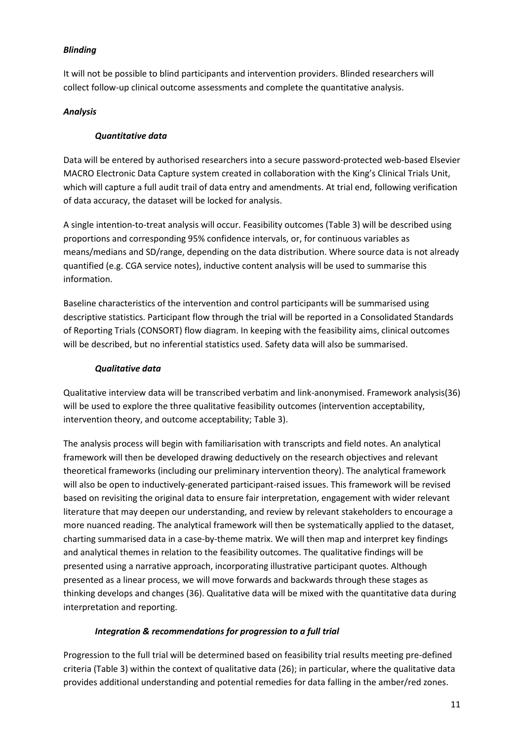# *Blinding*

It will not be possible to blind participants and intervention providers. Blinded researchers will collect follow-up clinical outcome assessments and complete the quantitative analysis.

#### *Analysis*

# *Quantitative data*

Data will be entered by authorised researchers into a secure password-protected web-based Elsevier MACRO Electronic Data Capture system created in collaboration with the King's Clinical Trials Unit, which will capture a full audit trail of data entry and amendments. At trial end, following verification of data accuracy, the dataset will be locked for analysis.

A single intention-to-treat analysis will occur. Feasibility outcomes (Table 3) will be described using proportions and corresponding 95% confidence intervals, or, for continuous variables as means/medians and SD/range, depending on the data distribution. Where source data is not already quantified (e.g. CGA service notes), inductive content analysis will be used to summarise this information.

Baseline characteristics of the intervention and control participants will be summarised using descriptive statistics. Participant flow through the trial will be reported in a Consolidated Standards of Reporting Trials (CONSORT) flow diagram. In keeping with the feasibility aims, clinical outcomes will be described, but no inferential statistics used. Safety data will also be summarised.

#### *Qualitative data*

Qualitative interview data will be transcribed verbatim and link-anonymised. Framework analysis(36) will be used to explore the three qualitative feasibility outcomes (intervention acceptability, intervention theory, and outcome acceptability; Table 3).

The analysis process will begin with familiarisation with transcripts and field notes. An analytical framework will then be developed drawing deductively on the research objectives and relevant theoretical frameworks (including our preliminary intervention theory). The analytical framework will also be open to inductively-generated participant-raised issues. This framework will be revised based on revisiting the original data to ensure fair interpretation, engagement with wider relevant literature that may deepen our understanding, and review by relevant stakeholders to encourage a more nuanced reading. The analytical framework will then be systematically applied to the dataset, charting summarised data in a case-by-theme matrix. We will then map and interpret key findings and analytical themes in relation to the feasibility outcomes. The qualitative findings will be presented using a narrative approach, incorporating illustrative participant quotes. Although presented as a linear process, we will move forwards and backwards through these stages as thinking develops and changes (36). Qualitative data will be mixed with the quantitative data during interpretation and reporting.

# *Integration & recommendations for progression to a full trial*

Progression to the full trial will be determined based on feasibility trial results meeting pre-defined criteria (Table 3) within the context of qualitative data (26); in particular, where the qualitative data provides additional understanding and potential remedies for data falling in the amber/red zones.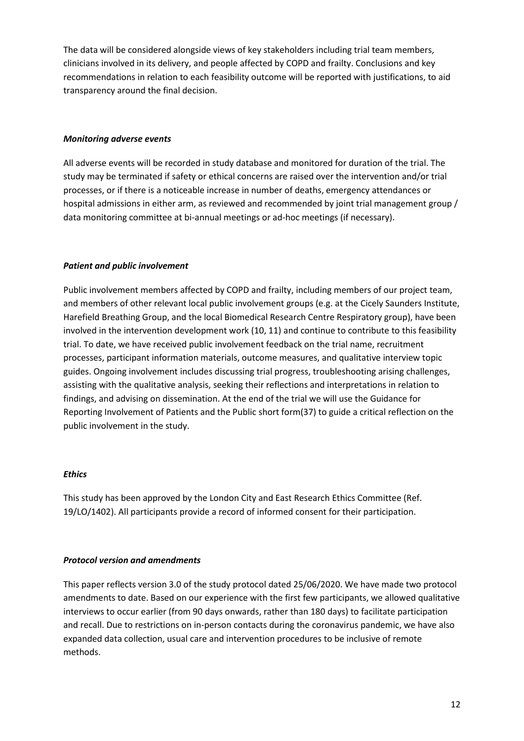The data will be considered alongside views of key stakeholders including trial team members, clinicians involved in its delivery, and people affected by COPD and frailty. Conclusions and key recommendations in relation to each feasibility outcome will be reported with justifications, to aid transparency around the final decision.

#### *Monitoring adverse events*

All adverse events will be recorded in study database and monitored for duration of the trial. The study may be terminated if safety or ethical concerns are raised over the intervention and/or trial processes, or if there is a noticeable increase in number of deaths, emergency attendances or hospital admissions in either arm, as reviewed and recommended by joint trial management group / data monitoring committee at bi-annual meetings or ad-hoc meetings (if necessary).

#### *Patient and public involvement*

Public involvement members affected by COPD and frailty, including members of our project team, and members of other relevant local public involvement groups (e.g. at the Cicely Saunders Institute, Harefield Breathing Group, and the local Biomedical Research Centre Respiratory group), have been involved in the intervention development work (10, 11) and continue to contribute to this feasibility trial. To date, we have received public involvement feedback on the trial name, recruitment processes, participant information materials, outcome measures, and qualitative interview topic guides. Ongoing involvement includes discussing trial progress, troubleshooting arising challenges, assisting with the qualitative analysis, seeking their reflections and interpretations in relation to findings, and advising on dissemination. At the end of the trial we will use the Guidance for Reporting Involvement of Patients and the Public short form(37) to guide a critical reflection on the public involvement in the study.

#### *Ethics*

This study has been approved by the London City and East Research Ethics Committee (Ref. 19/LO/1402). All participants provide a record of informed consent for their participation.

#### *Protocol version and amendments*

This paper reflects version 3.0 of the study protocol dated 25/06/2020. We have made two protocol amendments to date. Based on our experience with the first few participants, we allowed qualitative interviews to occur earlier (from 90 days onwards, rather than 180 days) to facilitate participation and recall. Due to restrictions on in-person contacts during the coronavirus pandemic, we have also expanded data collection, usual care and intervention procedures to be inclusive of remote methods.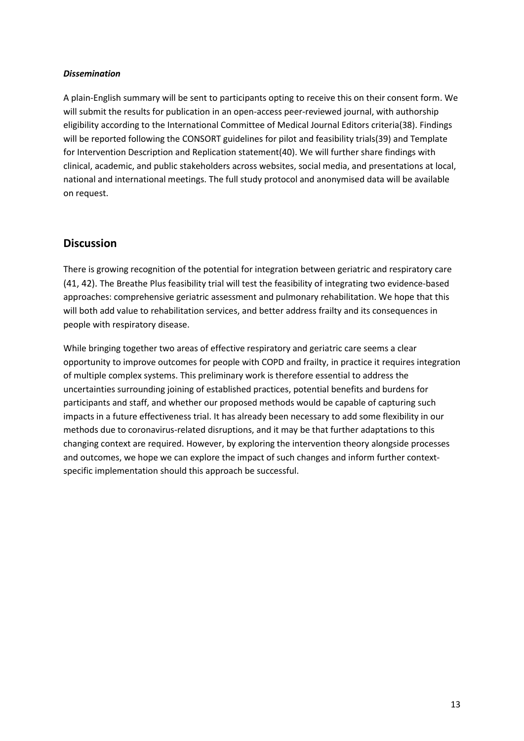#### *Dissemination*

A plain-English summary will be sent to participants opting to receive this on their consent form. We will submit the results for publication in an open-access peer-reviewed journal, with authorship eligibility according to the International Committee of Medical Journal Editors criteria(38). Findings will be reported following the CONSORT guidelines for pilot and feasibility trials(39) and Template for Intervention Description and Replication statement(40). We will further share findings with clinical, academic, and public stakeholders across websites, social media, and presentations at local, national and international meetings. The full study protocol and anonymised data will be available on request.

# **Discussion**

There is growing recognition of the potential for integration between geriatric and respiratory care (41, 42). The Breathe Plus feasibility trial will test the feasibility of integrating two evidence-based approaches: comprehensive geriatric assessment and pulmonary rehabilitation. We hope that this will both add value to rehabilitation services, and better address frailty and its consequences in people with respiratory disease.

While bringing together two areas of effective respiratory and geriatric care seems a clear opportunity to improve outcomes for people with COPD and frailty, in practice it requires integration of multiple complex systems. This preliminary work is therefore essential to address the uncertainties surrounding joining of established practices, potential benefits and burdens for participants and staff, and whether our proposed methods would be capable of capturing such impacts in a future effectiveness trial. It has already been necessary to add some flexibility in our methods due to coronavirus-related disruptions, and it may be that further adaptations to this changing context are required. However, by exploring the intervention theory alongside processes and outcomes, we hope we can explore the impact of such changes and inform further contextspecific implementation should this approach be successful.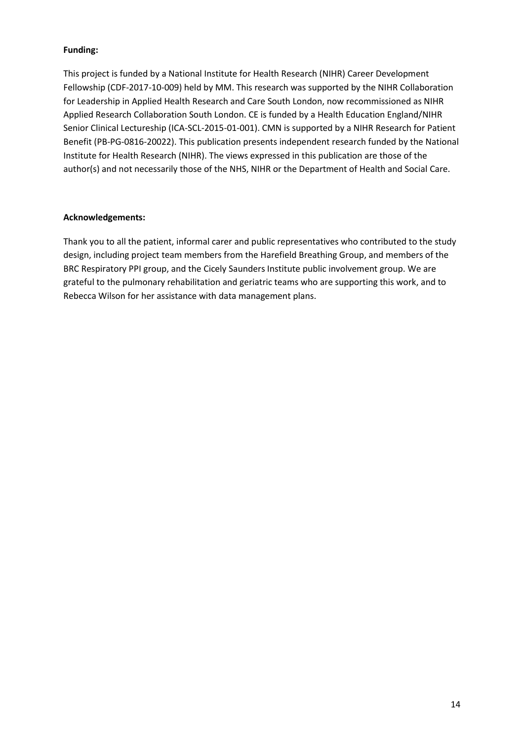# **Funding:**

This project is funded by a National Institute for Health Research (NIHR) Career Development Fellowship (CDF-2017-10-009) held by MM. This research was supported by the NIHR Collaboration for Leadership in Applied Health Research and Care South London, now recommissioned as NIHR Applied Research Collaboration South London. CE is funded by a Health Education England/NIHR Senior Clinical Lectureship (ICA-SCL-2015-01-001). CMN is supported by a NIHR Research for Patient Benefit (PB-PG-0816-20022). This publication presents independent research funded by the National Institute for Health Research (NIHR). The views expressed in this publication are those of the author(s) and not necessarily those of the NHS, NIHR or the Department of Health and Social Care.

#### **Acknowledgements:**

Thank you to all the patient, informal carer and public representatives who contributed to the study design, including project team members from the Harefield Breathing Group, and members of the BRC Respiratory PPI group, and the Cicely Saunders Institute public involvement group. We are grateful to the pulmonary rehabilitation and geriatric teams who are supporting this work, and to Rebecca Wilson for her assistance with data management plans.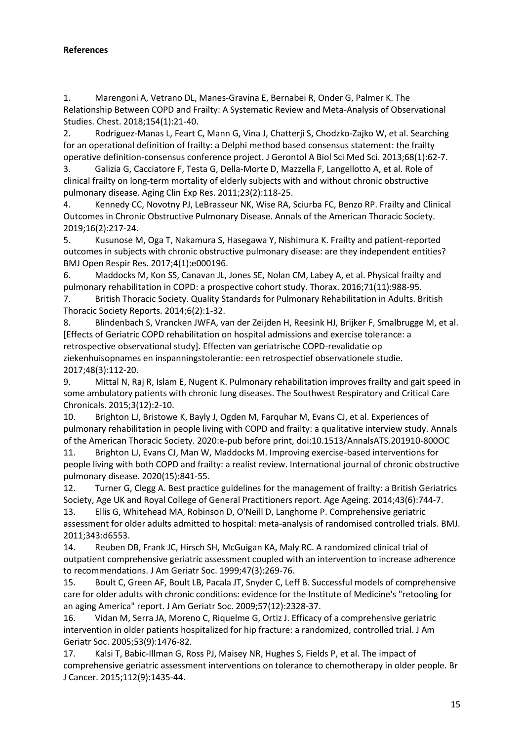# **References**

1. Marengoni A, Vetrano DL, Manes-Gravina E, Bernabei R, Onder G, Palmer K. The Relationship Between COPD and Frailty: A Systematic Review and Meta-Analysis of Observational Studies. Chest. 2018;154(1):21-40.

2. Rodriguez-Manas L, Feart C, Mann G, Vina J, Chatterji S, Chodzko-Zajko W, et al. Searching for an operational definition of frailty: a Delphi method based consensus statement: the frailty operative definition-consensus conference project. J Gerontol A Biol Sci Med Sci. 2013;68(1):62-7.

3. Galizia G, Cacciatore F, Testa G, Della-Morte D, Mazzella F, Langellotto A, et al. Role of clinical frailty on long-term mortality of elderly subjects with and without chronic obstructive pulmonary disease. Aging Clin Exp Res. 2011;23(2):118-25.

4. Kennedy CC, Novotny PJ, LeBrasseur NK, Wise RA, Sciurba FC, Benzo RP. Frailty and Clinical Outcomes in Chronic Obstructive Pulmonary Disease. Annals of the American Thoracic Society. 2019;16(2):217-24.

5. Kusunose M, Oga T, Nakamura S, Hasegawa Y, Nishimura K. Frailty and patient-reported outcomes in subjects with chronic obstructive pulmonary disease: are they independent entities? BMJ Open Respir Res. 2017;4(1):e000196.

6. Maddocks M, Kon SS, Canavan JL, Jones SE, Nolan CM, Labey A, et al. Physical frailty and pulmonary rehabilitation in COPD: a prospective cohort study. Thorax. 2016;71(11):988-95.

7. British Thoracic Society. Quality Standards for Pulmonary Rehabilitation in Adults. British Thoracic Society Reports. 2014;6(2):1-32.

8. Blindenbach S, Vrancken JWFA, van der Zeijden H, Reesink HJ, Brijker F, Smalbrugge M, et al. [Effects of Geriatric COPD rehabilitation on hospital admissions and exercise tolerance: a retrospective observational study]. Effecten van geriatrische COPD-revalidatie op ziekenhuisopnames en inspanningstolerantie: een retrospectief observationele studie. 2017;48(3):112-20.

9. Mittal N, Raj R, Islam E, Nugent K. Pulmonary rehabilitation improves frailty and gait speed in some ambulatory patients with chronic lung diseases. The Southwest Respiratory and Critical Care Chronicals. 2015;3(12):2-10.

10. Brighton LJ, Bristowe K, Bayly J, Ogden M, Farquhar M, Evans CJ, et al. Experiences of pulmonary rehabilitation in people living with COPD and frailty: a qualitative interview study. Annals of the American Thoracic Society. 2020:e-pub before print, doi:10.1513/AnnalsATS.201910-800OC

11. Brighton LJ, Evans CJ, Man W, Maddocks M. Improving exercise-based interventions for people living with both COPD and frailty: a realist review. International journal of chronic obstructive pulmonary disease. 2020(15):841-55.

12. Turner G, Clegg A. Best practice guidelines for the management of frailty: a British Geriatrics Society, Age UK and Royal College of General Practitioners report. Age Ageing. 2014;43(6):744-7.

13. Ellis G, Whitehead MA, Robinson D, O'Neill D, Langhorne P. Comprehensive geriatric assessment for older adults admitted to hospital: meta-analysis of randomised controlled trials. BMJ. 2011;343:d6553.

14. Reuben DB, Frank JC, Hirsch SH, McGuigan KA, Maly RC. A randomized clinical trial of outpatient comprehensive geriatric assessment coupled with an intervention to increase adherence to recommendations. J Am Geriatr Soc. 1999;47(3):269-76.

15. Boult C, Green AF, Boult LB, Pacala JT, Snyder C, Leff B. Successful models of comprehensive care for older adults with chronic conditions: evidence for the Institute of Medicine's "retooling for an aging America" report. J Am Geriatr Soc. 2009;57(12):2328-37.

16. Vidan M, Serra JA, Moreno C, Riquelme G, Ortiz J. Efficacy of a comprehensive geriatric intervention in older patients hospitalized for hip fracture: a randomized, controlled trial. J Am Geriatr Soc. 2005;53(9):1476-82.

17. Kalsi T, Babic-Illman G, Ross PJ, Maisey NR, Hughes S, Fields P, et al. The impact of comprehensive geriatric assessment interventions on tolerance to chemotherapy in older people. Br J Cancer. 2015;112(9):1435-44.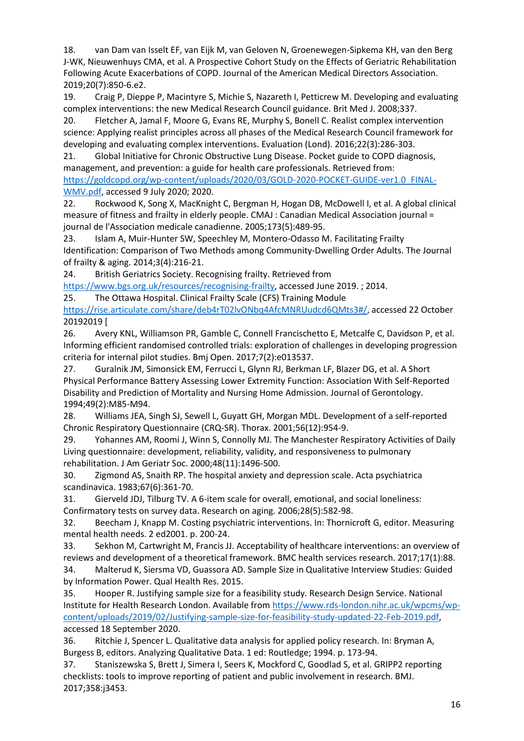18. van Dam van Isselt EF, van Eijk M, van Geloven N, Groenewegen-Sipkema KH, van den Berg J-WK, Nieuwenhuys CMA, et al. A Prospective Cohort Study on the Effects of Geriatric Rehabilitation Following Acute Exacerbations of COPD. Journal of the American Medical Directors Association. 2019;20(7):850-6.e2.

19. Craig P, Dieppe P, Macintyre S, Michie S, Nazareth I, Petticrew M. Developing and evaluating complex interventions: the new Medical Research Council guidance. Brit Med J. 2008;337.

20. Fletcher A, Jamal F, Moore G, Evans RE, Murphy S, Bonell C. Realist complex intervention science: Applying realist principles across all phases of the Medical Research Council framework for developing and evaluating complex interventions. Evaluation (Lond). 2016;22(3):286-303.

21. Global Initiative for Chronic Obstructive Lung Disease. Pocket guide to COPD diagnosis, management, and prevention: a guide for health care professionals. Retrieved from: [https://goldcopd.org/wp-content/uploads/2020/03/GOLD-2020-POCKET-GUIDE-ver1.0\\_FINAL-](https://goldcopd.org/wp-content/uploads/2020/03/GOLD-2020-POCKET-GUIDE-ver1.0_FINAL-WMV.pdf)[WMV.pdf,](https://goldcopd.org/wp-content/uploads/2020/03/GOLD-2020-POCKET-GUIDE-ver1.0_FINAL-WMV.pdf) accessed 9 July 2020; 2020.

22. Rockwood K, Song X, MacKnight C, Bergman H, Hogan DB, McDowell I, et al. A global clinical measure of fitness and frailty in elderly people. CMAJ : Canadian Medical Association journal = journal de l'Association medicale canadienne. 2005;173(5):489-95.

23. Islam A, Muir-Hunter SW, Speechley M, Montero-Odasso M. Facilitating Frailty Identification: Comparison of Two Methods among Community-Dwelling Order Adults. The Journal of frailty & aging. 2014;3(4):216-21.

24. British Geriatrics Society. Recognising frailty. Retrieved from

[https://www.bgs.org.uk/resources/recognising-frailty,](https://www.bgs.org.uk/resources/recognising-frailty) accessed June 2019. ; 2014.

25. The Ottawa Hospital. Clinical Frailty Scale (CFS) Training Module

[https://rise.articulate.com/share/deb4rT02lvONbq4AfcMNRUudcd6QMts3#/,](https://rise.articulate.com/share/deb4rT02lvONbq4AfcMNRUudcd6QMts3#/) accessed 22 October 20192019 [

26. Avery KNL, Williamson PR, Gamble C, Connell Francischetto E, Metcalfe C, Davidson P, et al. Informing efficient randomised controlled trials: exploration of challenges in developing progression criteria for internal pilot studies. Bmj Open. 2017;7(2):e013537.

27. Guralnik JM, Simonsick EM, Ferrucci L, Glynn RJ, Berkman LF, Blazer DG, et al. A Short Physical Performance Battery Assessing Lower Extremity Function: Association With Self-Reported Disability and Prediction of Mortality and Nursing Home Admission. Journal of Gerontology. 1994;49(2):M85-M94.

28. Williams JEA, Singh SJ, Sewell L, Guyatt GH, Morgan MDL. Development of a self-reported Chronic Respiratory Questionnaire (CRQ-SR). Thorax. 2001;56(12):954-9.

29. Yohannes AM, Roomi J, Winn S, Connolly MJ. The Manchester Respiratory Activities of Daily Living questionnaire: development, reliability, validity, and responsiveness to pulmonary rehabilitation. J Am Geriatr Soc. 2000;48(11):1496-500.

30. Zigmond AS, Snaith RP. The hospital anxiety and depression scale. Acta psychiatrica scandinavica. 1983;67(6):361-70.

31. Gierveld JDJ, Tilburg TV. A 6-item scale for overall, emotional, and social loneliness: Confirmatory tests on survey data. Research on aging. 2006;28(5):582-98.

32. Beecham J, Knapp M. Costing psychiatric interventions. In: Thornicroft G, editor. Measuring mental health needs. 2 ed2001. p. 200-24.

33. Sekhon M, Cartwright M, Francis JJ. Acceptability of healthcare interventions: an overview of reviews and development of a theoretical framework. BMC health services research. 2017;17(1):88.

34. Malterud K, Siersma VD, Guassora AD. Sample Size in Qualitative Interview Studies: Guided by Information Power. Qual Health Res. 2015.

35. Hooper R. Justifying sample size for a feasibility study. Research Design Service. National Institute for Health Research London. Available from [https://www.rds-london.nihr.ac.uk/wpcms/wp](https://www.rds-london.nihr.ac.uk/wpcms/wp-content/uploads/2019/02/Justifying-sample-size-for-feasibility-study-updated-22-Feb-2019.pdf)[content/uploads/2019/02/Justifying-sample-size-for-feasibility-study-updated-22-Feb-2019.pdf,](https://www.rds-london.nihr.ac.uk/wpcms/wp-content/uploads/2019/02/Justifying-sample-size-for-feasibility-study-updated-22-Feb-2019.pdf) accessed 18 September 2020.

36. Ritchie J, Spencer L. Qualitative data analysis for applied policy research. In: Bryman A, Burgess B, editors. Analyzing Qualitative Data. 1 ed: Routledge; 1994. p. 173-94.

37. Staniszewska S, Brett J, Simera I, Seers K, Mockford C, Goodlad S, et al. GRIPP2 reporting checklists: tools to improve reporting of patient and public involvement in research. BMJ. 2017;358:j3453.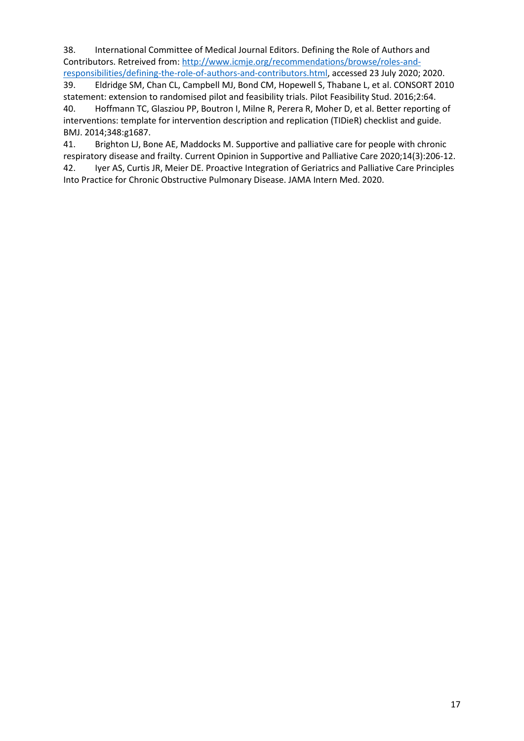38. International Committee of Medical Journal Editors. Defining the Role of Authors and Contributors. Retreived from: [http://www.icmje.org/recommendations/browse/roles-and](http://www.icmje.org/recommendations/browse/roles-and-responsibilities/defining-the-role-of-authors-and-contributors.html)[responsibilities/defining-the-role-of-authors-and-contributors.html,](http://www.icmje.org/recommendations/browse/roles-and-responsibilities/defining-the-role-of-authors-and-contributors.html) accessed 23 July 2020; 2020.

39. Eldridge SM, Chan CL, Campbell MJ, Bond CM, Hopewell S, Thabane L, et al. CONSORT 2010 statement: extension to randomised pilot and feasibility trials. Pilot Feasibility Stud. 2016;2:64.

40. Hoffmann TC, Glasziou PP, Boutron I, Milne R, Perera R, Moher D, et al. Better reporting of interventions: template for intervention description and replication (TIDieR) checklist and guide. BMJ. 2014;348:g1687.

41. Brighton LJ, Bone AE, Maddocks M. Supportive and palliative care for people with chronic respiratory disease and frailty. Current Opinion in Supportive and Palliative Care 2020;14(3):206-12. 42. Iyer AS, Curtis JR, Meier DE. Proactive Integration of Geriatrics and Palliative Care Principles Into Practice for Chronic Obstructive Pulmonary Disease. JAMA Intern Med. 2020.